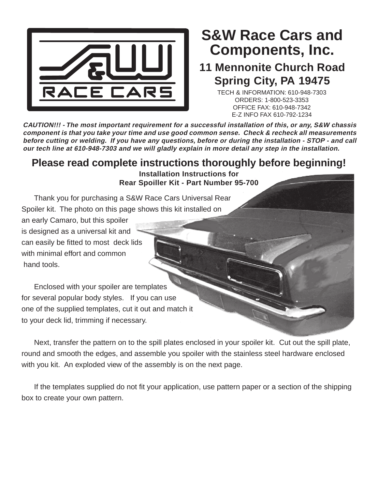

## **Components, Inc. S&W Race Cars and**

## **11 Mennonite Church Road Spring City, PA 19475**

TECH & INFORMATION: 610-948-7303 ORDERS: 1-800-523-3353 OFFICE FAX: 610-948-7342 E-Z INFO FAX 610-792-1234

**CAUTION!!! - The most important requirement for a successful installation of this, or any, S&W chassis component is that you take your time and use good common sense. Check & recheck all measurements before cutting or welding. If you have any questions, before or during the installation - STOP - and call our tech line at 610-948-7303 and we will gladly explain in more detail any step in the installation.**

## **Please read complete instructions thoroughly before beginning!**

**Installation Instructions for Rear Spoiller Kit - Part Number 95-700**

Thank you for purchasing a S&W Race Cars Universal Rear Spoiler kit. The photo on this page shows this kit installed on

an early Camaro, but this spoiler is designed as a universal kit and can easily be fitted to most deck lids with minimal effort and common hand tools.

Enclosed with your spoiler are templates for several popular body styles. If you can use one of the supplied templates, cut it out and match it to your deck lid, trimming if necessary.

Next, transfer the pattern on to the spill plates enclosed in your spoiler kit. Cut out the spill plate, round and smooth the edges, and assemble you spoiler with the stainless steel hardware enclosed with you kit. An exploded view of the assembly is on the next page.

If the templates supplied do not fit your application, use pattern paper or a section of the shipping box to create your own pattern.